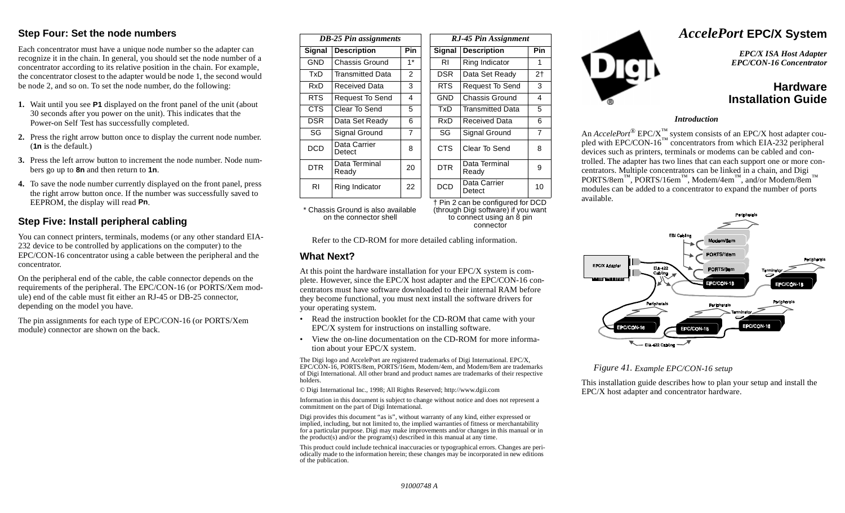### **Step Four: Set the node numbers**

Each concentrator must have a unique node number so the adapter can recognize it in the chain. In general, you should set the node number of a concentrator according to its relative position in the chain. For example, the concentrator closest to the adapter would be node 1, the second would be node 2, and so on. To set the node number, do the following:

- **1.** Wait until you see **P1** displayed on the front panel of the unit (about 30 seconds after you power on the unit). This indicates that the Power-on Self Test has successfully completed.
- **2.** Press the right arrow button once to display the current node number. (**1n** is the default.)
- **3.** Press the left arrow button to increment the node number. Node numbers go up to **8n** and then return to **1n**.
- **4.** To save the node number currently displayed on the front panel, press the right arrow button once. If the number was successfully saved to EEPROM, the display will read **Pn**.

## **Step Five: Install peripheral cabling**

You can connect printers, terminals, modems (or any other standard EIA-232 device to be controlled by applications on the computer) to the EPC/CON-16 concentrator using a cable between the peripheral and the concentrator.

On the peripheral end of the cable, the cable connector depends on the requirements of the peripheral. The EPC/CON-16 (or PORTS/Xem module) end of the cable must fit either an RJ-45 or DB-25 connector, depending on the model you have.

The pin assignments for each type of EPC/CON-16 (or PORTS/Xem module) connector are shown on the back.

| <b>DB-25 Pin assignments</b> |                        |            | <b>RJ-45 Pin Assignment</b> |                                         |                |  |
|------------------------------|------------------------|------------|-----------------------------|-----------------------------------------|----------------|--|
| <b>Signal</b>                | <b>Description</b>     | <b>Pin</b> | <b>Signal</b>               | <b>Description</b>                      | Pin            |  |
| GND                          | Chassis Ground         | $1*$       | RI                          | Ring Indicator                          | 1              |  |
| TxD                          | Transmitted Data       | 2          | DSR.                        | Data Set Ready                          | 2 <sub>1</sub> |  |
| RxD                          | Received Data          | 3          | <b>RTS</b>                  | Request To Send                         | 3              |  |
| <b>RTS</b>                   | <b>Request To Send</b> | 4          | <b>GND</b>                  | Chassis Ground                          | 4              |  |
| CTS                          | Clear To Send          | 5          | TxD                         | <b>Transmitted Data</b>                 | 5              |  |
| DSR.                         | Data Set Ready         | 6          | RxD                         | Received Data                           | 6              |  |
| SG                           | Signal Ground          | 7          | SG                          | Signal Ground                           | $\overline{7}$ |  |
| <b>DCD</b>                   | Data Carrier<br>Detect | 8          | <b>CTS</b>                  | Clear To Send                           | 8              |  |
| <b>DTR</b>                   | Data Terminal<br>Ready | 20         | DTR.                        | Data Terminal<br>Ready                  | 9              |  |
| RI                           | Ring Indicator         | 22         | <b>DCD</b>                  | Data Carrier<br>Detect                  | 10             |  |
|                              |                        |            |                             | $\pm$ Die Olaas hat aandieuwerd fan DOE |                |  |

\* Chassis Ground is also available on the connector shell

† Pin 2 can be configured for DCD (through Digi software) if you want to connect using an 8 pin connector

Refer to the CD-ROM for more detailed cabling information.

### **What Next?**

At this point the hardware installation for your EPC/X system is complete. However, since the EPC/X host adapter and the EPC/CON-16 concentrators must have software downloaded to their internal RAM before they become functional, you must next install the software drivers for your operating system.

- Read the instruction booklet for the CD-ROM that came with your EPC/X system for instructions on installing software.
- View the on-line documentation on the CD-ROM for more information about your EPC/X system.

The Digi logo and AccelePort are registered trademarks of Digi International. EPC/X, EPC/CON-16, PORTS/8em, PORTS/16em, Modem/4em, and Modem/8em are trademarks of Digi International. All other brand and product names are trademarks of their respective holders.

© Digi International Inc., 1998; All Rights Reserved; http://www.dgii.com

Information in this document is subject to change without notice and does not represent a commitment on the part of Digi International.

Digi provides this document "as is", without warranty of any kind, either expressed or implied, including, but not limited to, the implied warranties of fitness or merchantability for a particular purpose. Digi may make improvements and/or changes in this manual or in the product(s) and/or the program(s) described in this manual at any time.

This product could include technical inaccuracies or typographical errors. Changes are periodically made to the information herein; these changes may be incorporated in new editions of the publication.



# *AccelePort* **EPC/X System**

*EPC/X ISA Host Adapter EPC/CON-16 Concentrator*

# **HardwareInstallation Guide**

#### *Introduction*

An  $\text{A} \text{c} \text{c} \text{e} \text{e} \text{Port}^{\circledast}$  EPC/X  $\text{m}$  system consists of an EPC/X host adapter coupled with EPC/CON-16<sup>™</sup> concentrators from which EIA-232 peripheral devices such as printers, terminals or modems can be cabled and controlled. The adapter has two lines that can each support one or more concentrators. Multiple concentrators can be linked in a chain, and Digi  $PORTS/8em$ <sup>™</sup>, PORTS/16em<sup>™</sup>, Modem/4em<sup>™</sup>, and/or Modem/8em<sup>™</sup> modules can be added to a concentrator to expand the number of ports available.



#### *Figure 41. Example EPC/CON-16 setup*

This installation guide describes how to plan your setup and install the EPC/X host adapter and concentrator hardware.